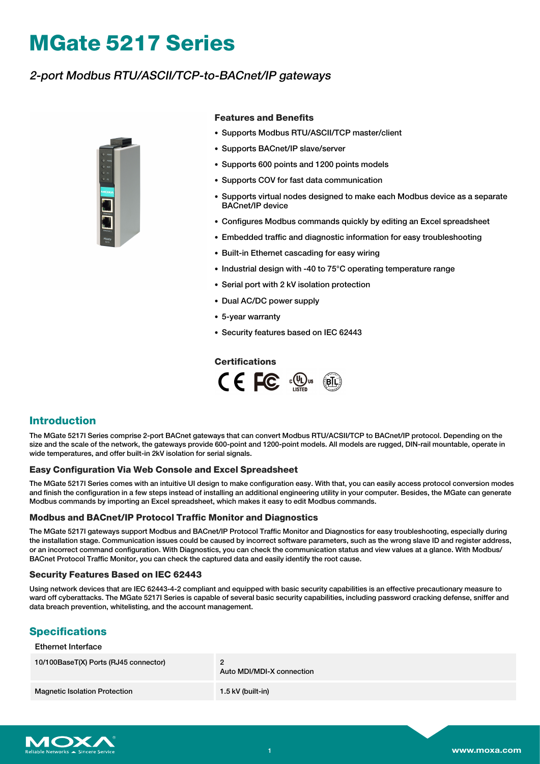# **MGate 5217 Series**

# 2-port Modbus RTU/ASCII/TCP-to-BACnet/IP gateways



#### **Features and Benefits**

- Supports Modbus RTU/ASCII/TCP master/client
- Supports BACnet/IP slave/server
- Supports 600 points and 1200 points models
- Supports COV for fast data communication
- Supports virtual nodes designed to make each Modbus device as a separate BACnet/IP device
- Configures Modbus commands quickly by editing an Excel spreadsheet
- Embedded traffic and diagnostic information for easy troubleshooting
- Built-in Ethernet cascading for easy wiring
- Industrial design with -40 to 75°C operating temperature range
- Serial port with 2 kV isolation protection
- Dual AC/DC power supply
- 5-year warranty
- Security features based on IEC 62443

#### **Certifications**



### **Introduction**

The MGate 5217I Series comprise 2-port BACnet gateways that can convert Modbus RTU/ACSII/TCP to BACnet/IP protocol. Depending on the size and the scale of the network, the gateways provide 600-point and 1200-point models. All models are rugged, DIN-rail mountable, operate in wide temperatures, and offer built-in 2kV isolation for serial signals.

#### **Easy Configuration Via Web Console and Excel Spreadsheet**

The MGate 5217I Series comes with an intuitive UI design to make configuration easy. With that, you can easily access protocol conversion modes and finish the configuration in a few steps instead of installing an additional engineering utility in your computer. Besides, the MGate can generate Modbus commands by importing an Excel spreadsheet, which makes it easy to edit Modbus commands.

#### **Modbus and BACnet/IP Protocol Traffic Monitor and Diagnostics**

The MGate 5217I gateways support Modbus and BACnet/IP Protocol Traffic Monitor and Diagnostics for easy troubleshooting, especially during the installation stage. Communication issues could be caused by incorrect software parameters, such as the wrong slave ID and register address, or an incorrect command configuration. With Diagnostics, you can check the communication status and view values at a glance. With Modbus/ BACnet Protocol Traffic Monitor, you can check the captured data and easily identify the root cause.

#### **Security Features Based on IEC 62443**

Using network devices that are IEC 62443-4-2 compliant and equipped with basic security capabilities is an effective precautionary measure to ward off cyberattacks. The MGate 5217I Series is capable of several basic security capabilities, including password cracking defense, sniffer and data breach prevention, whitelisting, and the account management.

## **Specifications**

#### Ethernet Interface

| 10/100BaseT(X) Ports (RJ45 connector) | Auto MDI/MDI-X connection |
|---------------------------------------|---------------------------|
| <b>Magnetic Isolation Protection</b>  | 1.5 kV (built-in)         |

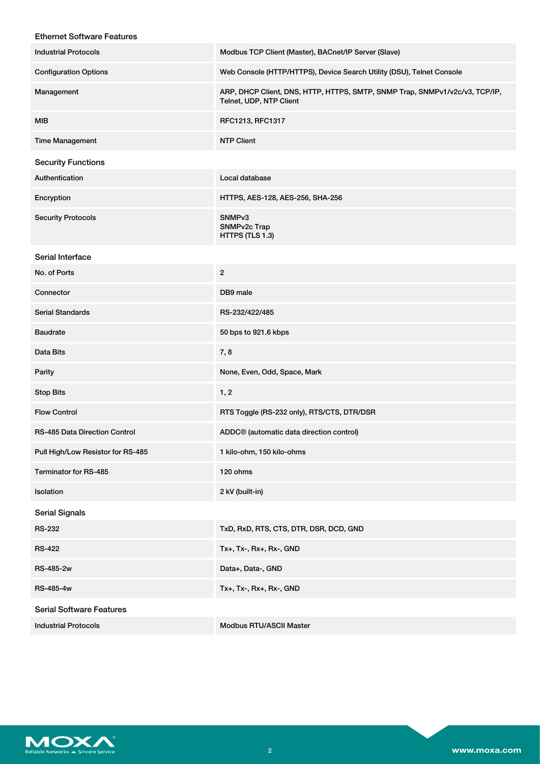| <b>Ethernet Software Features</b>    |                                                                                                        |
|--------------------------------------|--------------------------------------------------------------------------------------------------------|
| <b>Industrial Protocols</b>          | Modbus TCP Client (Master), BACnet/IP Server (Slave)                                                   |
| <b>Configuration Options</b>         | Web Console (HTTP/HTTPS), Device Search Utility (DSU), Telnet Console                                  |
| Management                           | ARP, DHCP Client, DNS, HTTP, HTTPS, SMTP, SNMP Trap, SNMPv1/v2c/v3, TCP/IP,<br>Telnet, UDP, NTP Client |
| <b>MIB</b>                           | RFC1213, RFC1317                                                                                       |
| <b>Time Management</b>               | <b>NTP Client</b>                                                                                      |
| <b>Security Functions</b>            |                                                                                                        |
| Authentication                       | Local database                                                                                         |
| Encryption                           | HTTPS, AES-128, AES-256, SHA-256                                                                       |
| <b>Security Protocols</b>            | SNMP <sub>v3</sub><br>SNMPv2c Trap<br>HTTPS (TLS 1.3)                                                  |
| Serial Interface                     |                                                                                                        |
| No. of Ports                         | $\overline{2}$                                                                                         |
| Connector                            | DB9 male                                                                                               |
| <b>Serial Standards</b>              | RS-232/422/485                                                                                         |
| <b>Baudrate</b>                      | 50 bps to 921.6 kbps                                                                                   |
| Data Bits                            | 7,8                                                                                                    |
| Parity                               | None, Even, Odd, Space, Mark                                                                           |
| <b>Stop Bits</b>                     | 1, 2                                                                                                   |
| <b>Flow Control</b>                  | RTS Toggle (RS-232 only), RTS/CTS, DTR/DSR                                                             |
| <b>RS-485 Data Direction Control</b> | ADDC <sup>®</sup> (automatic data direction control)                                                   |
| Pull High/Low Resistor for RS-485    | 1 kilo-ohm, 150 kilo-ohms                                                                              |
| Terminator for RS-485                | 120 ohms                                                                                               |
| Isolation                            | 2 kV (built-in)                                                                                        |
| <b>Serial Signals</b>                |                                                                                                        |
| <b>RS-232</b>                        | TxD, RxD, RTS, CTS, DTR, DSR, DCD, GND                                                                 |
| <b>RS-422</b>                        | Tx+, Tx-, Rx+, Rx-, GND                                                                                |
| RS-485-2w                            | Data+, Data-, GND                                                                                      |
| RS-485-4w                            | Tx+, Tx-, Rx+, Rx-, GND                                                                                |
| <b>Serial Software Features</b>      |                                                                                                        |
| <b>Industrial Protocols</b>          | <b>Modbus RTU/ASCII Master</b>                                                                         |

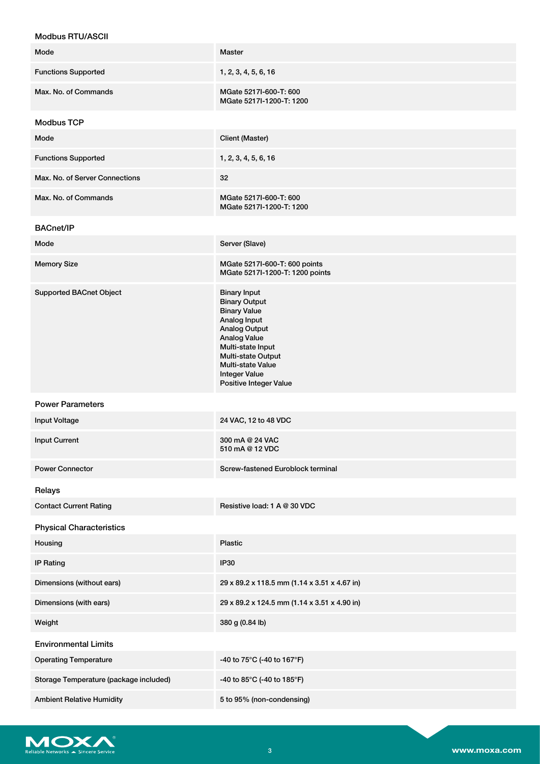| <b>MOGDUS RTU/ASCII</b>                |                                                                                                                                                                                                                                                            |
|----------------------------------------|------------------------------------------------------------------------------------------------------------------------------------------------------------------------------------------------------------------------------------------------------------|
| Mode                                   | <b>Master</b>                                                                                                                                                                                                                                              |
| <b>Functions Supported</b>             | 1, 2, 3, 4, 5, 6, 16                                                                                                                                                                                                                                       |
| Max. No. of Commands                   | MGate 5217I-600-T: 600<br>MGate 5217I-1200-T: 1200                                                                                                                                                                                                         |
| <b>Modbus TCP</b>                      |                                                                                                                                                                                                                                                            |
| Mode                                   | Client (Master)                                                                                                                                                                                                                                            |
| <b>Functions Supported</b>             | 1, 2, 3, 4, 5, 6, 16                                                                                                                                                                                                                                       |
| Max. No. of Server Connections         | 32                                                                                                                                                                                                                                                         |
| Max. No. of Commands                   | MGate 5217I-600-T: 600<br>MGate 5217I-1200-T: 1200                                                                                                                                                                                                         |
| <b>BACnet/IP</b>                       |                                                                                                                                                                                                                                                            |
| Mode                                   | Server (Slave)                                                                                                                                                                                                                                             |
| <b>Memory Size</b>                     | MGate 5217I-600-T: 600 points<br>MGate 5217I-1200-T: 1200 points                                                                                                                                                                                           |
| <b>Supported BACnet Object</b>         | <b>Binary Input</b><br><b>Binary Output</b><br><b>Binary Value</b><br>Analog Input<br><b>Analog Output</b><br><b>Analog Value</b><br>Multi-state Input<br><b>Multi-state Output</b><br>Multi-state Value<br><b>Integer Value</b><br>Positive Integer Value |
| <b>Power Parameters</b>                |                                                                                                                                                                                                                                                            |
| Input Voltage                          | 24 VAC, 12 to 48 VDC                                                                                                                                                                                                                                       |
| <b>Input Current</b>                   | 300 mA @ 24 VAC<br>510 mA @ 12 VDC                                                                                                                                                                                                                         |
| <b>Power Connector</b>                 | Screw-fastened Euroblock terminal                                                                                                                                                                                                                          |
| Relays                                 |                                                                                                                                                                                                                                                            |
| <b>Contact Current Rating</b>          | Resistive load: 1 A @ 30 VDC                                                                                                                                                                                                                               |
| <b>Physical Characteristics</b>        |                                                                                                                                                                                                                                                            |
| Housing                                | <b>Plastic</b>                                                                                                                                                                                                                                             |
| <b>IP Rating</b>                       | <b>IP30</b>                                                                                                                                                                                                                                                |
| Dimensions (without ears)              | 29 x 89.2 x 118.5 mm (1.14 x 3.51 x 4.67 in)                                                                                                                                                                                                               |
| Dimensions (with ears)                 | 29 x 89.2 x 124.5 mm (1.14 x 3.51 x 4.90 in)                                                                                                                                                                                                               |
| Weight                                 | 380 g (0.84 lb)                                                                                                                                                                                                                                            |
| <b>Environmental Limits</b>            |                                                                                                                                                                                                                                                            |
| <b>Operating Temperature</b>           | -40 to 75°C (-40 to 167°F)                                                                                                                                                                                                                                 |
| Storage Temperature (package included) | -40 to 85°C (-40 to 185°F)                                                                                                                                                                                                                                 |
| <b>Ambient Relative Humidity</b>       | 5 to 95% (non-condensing)                                                                                                                                                                                                                                  |

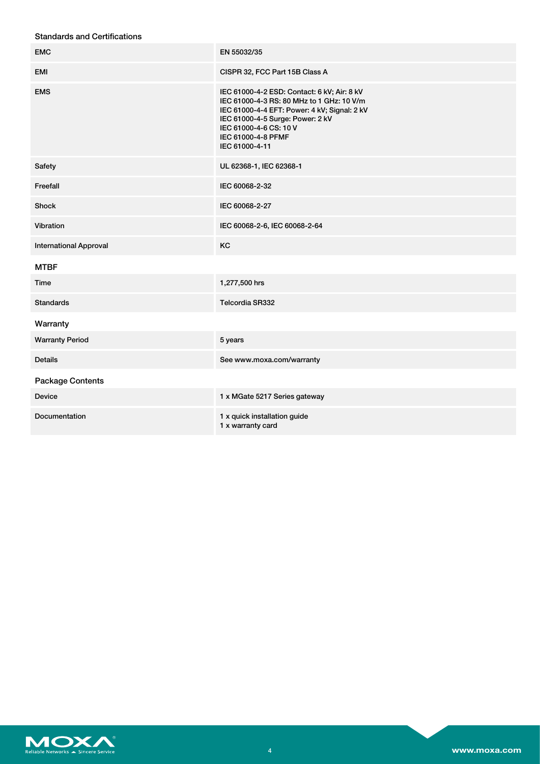| <b>EMC</b>                    | EN 55032/35                                                                                                                                                                                                                                    |
|-------------------------------|------------------------------------------------------------------------------------------------------------------------------------------------------------------------------------------------------------------------------------------------|
| EMI                           | CISPR 32, FCC Part 15B Class A                                                                                                                                                                                                                 |
| <b>EMS</b>                    | IEC 61000-4-2 ESD: Contact: 6 kV; Air: 8 kV<br>IEC 61000-4-3 RS: 80 MHz to 1 GHz: 10 V/m<br>IEC 61000-4-4 EFT: Power: 4 kV; Signal: 2 kV<br>IEC 61000-4-5 Surge: Power: 2 kV<br>IEC 61000-4-6 CS: 10 V<br>IEC 61000-4-8 PFMF<br>IEC 61000-4-11 |
| Safety                        | UL 62368-1, IEC 62368-1                                                                                                                                                                                                                        |
| Freefall                      | IEC 60068-2-32                                                                                                                                                                                                                                 |
| Shock                         | IEC 60068-2-27                                                                                                                                                                                                                                 |
| Vibration                     | IEC 60068-2-6, IEC 60068-2-64                                                                                                                                                                                                                  |
| <b>International Approval</b> | KC                                                                                                                                                                                                                                             |
| <b>MTBF</b>                   |                                                                                                                                                                                                                                                |
| Time                          | 1,277,500 hrs                                                                                                                                                                                                                                  |
| <b>Standards</b>              | Telcordia SR332                                                                                                                                                                                                                                |
| Warranty                      |                                                                                                                                                                                                                                                |
| <b>Warranty Period</b>        | 5 years                                                                                                                                                                                                                                        |
| <b>Details</b>                | See www.moxa.com/warranty                                                                                                                                                                                                                      |
| <b>Package Contents</b>       |                                                                                                                                                                                                                                                |
| <b>Device</b>                 | 1 x MGate 5217 Series gateway                                                                                                                                                                                                                  |
|                               |                                                                                                                                                                                                                                                |